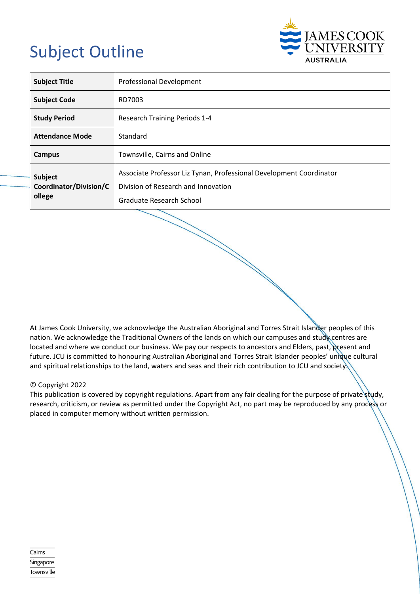# Subject Outline



| <b>Subject Title</b>                                        | <b>Professional Development</b>                                                                                                        |  |  |
|-------------------------------------------------------------|----------------------------------------------------------------------------------------------------------------------------------------|--|--|
| <b>Subject Code</b>                                         | RD7003                                                                                                                                 |  |  |
| <b>Study Period</b><br><b>Research Training Periods 1-4</b> |                                                                                                                                        |  |  |
| <b>Attendance Mode</b>                                      | Standard                                                                                                                               |  |  |
| Campus                                                      | Townsville, Cairns and Online                                                                                                          |  |  |
| Subject<br>Coordinator/Division/C<br>ollege                 | Associate Professor Liz Tynan, Professional Development Coordinator<br>Division of Research and Innovation<br>Graduate Research School |  |  |

At James Cook University, we acknowledge the Australian Aboriginal and Torres Strait Islander peoples of this nation. We acknowledge the Traditional Owners of the lands on which our campuses and study centres are located and where we conduct our business. We pay our respects to ancestors and Elders, past, present and future. JCU is committed to honouring Australian Aboriginal and Torres Strait Islander peoples' unique cultural and spiritual relationships to the land, waters and seas and their rich contribution to JCU and society.

#### © Copyright 2022

This publication is covered by copyright regulations. Apart from any fair dealing for the purpose of private study, research, criticism, or review as permitted under the Copyright Act, no part may be reproduced by any process or placed in computer memory without written permission.

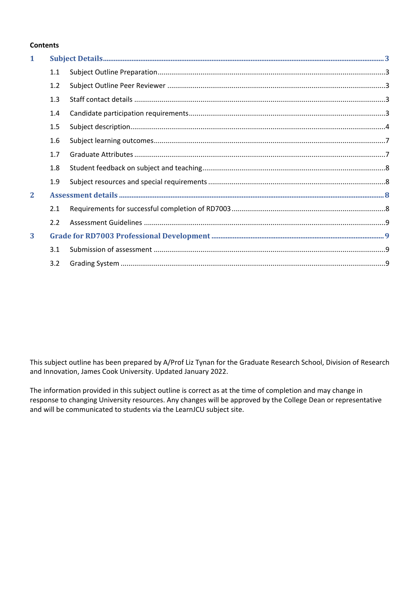#### **Contents**

| $\mathbf{1}$ |     |  |  |  |
|--------------|-----|--|--|--|
|              | 1.1 |  |  |  |
|              | 1.2 |  |  |  |
|              | 1.3 |  |  |  |
|              | 1.4 |  |  |  |
|              | 1.5 |  |  |  |
|              | 1.6 |  |  |  |
|              | 1.7 |  |  |  |
|              | 1.8 |  |  |  |
|              | 1.9 |  |  |  |
| $\mathbf{2}$ |     |  |  |  |
|              | 2.1 |  |  |  |
|              | 2.2 |  |  |  |
| 3            |     |  |  |  |
|              | 3.1 |  |  |  |
|              | 3.2 |  |  |  |

This subject outline has been prepared by A/Prof Liz Tynan for the Graduate Research School, Division of Research and Innovation, James Cook University. Updated January 2022.

The information provided in this subject outline is correct as at the time of completion and may change in response to changing University resources. Any changes will be approved by the College Dean or representative and will be communicated to students via the LearnJCU subject site.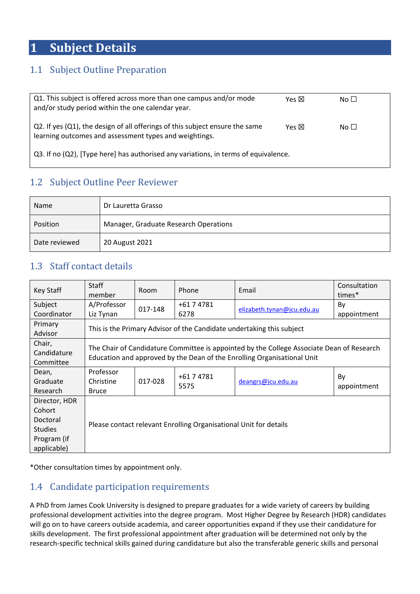## <span id="page-2-0"></span>**1 Subject Details**

## <span id="page-2-1"></span>1.1 Subject Outline Preparation

| Q1. This subject is offered across more than one campus and/or mode<br>and/or study period within the one calendar year.               | Yes 冈 | No $\Box$ |  |  |
|----------------------------------------------------------------------------------------------------------------------------------------|-------|-----------|--|--|
| Q2. If yes (Q1), the design of all offerings of this subject ensure the same<br>learning outcomes and assessment types and weightings. | Yes 冈 | No $\Box$ |  |  |
| Q3. If no (Q2), [Type here] has authorised any variations, in terms of equivalence.                                                    |       |           |  |  |

## <span id="page-2-2"></span>1.2 Subject Outline Peer Reviewer

| Name                                              | Dr Lauretta Grasso |  |  |
|---------------------------------------------------|--------------------|--|--|
| Manager, Graduate Research Operations<br>Position |                    |  |  |
| Date reviewed                                     | 20 August 2021     |  |  |

## <span id="page-2-3"></span>1.3 Staff contact details

| Key Staff                          | <b>Staff</b><br>member                                                                                                                                               | Room    | Phone              | Email                      | Consultation<br>times* |  |  |
|------------------------------------|----------------------------------------------------------------------------------------------------------------------------------------------------------------------|---------|--------------------|----------------------------|------------------------|--|--|
| Subject                            | A/Professor                                                                                                                                                          | 017-148 | +61 7 4781         | elizabeth.tynan@jcu.edu.au | By                     |  |  |
| Coordinator                        | Liz Tynan                                                                                                                                                            |         | 6278               |                            | appointment            |  |  |
| Primary<br>Advisor                 | This is the Primary Advisor of the Candidate undertaking this subject                                                                                                |         |                    |                            |                        |  |  |
| Chair,<br>Candidature<br>Committee | The Chair of Candidature Committee is appointed by the College Associate Dean of Research<br>Education and approved by the Dean of the Enrolling Organisational Unit |         |                    |                            |                        |  |  |
| Dean,                              | Professor                                                                                                                                                            | 017-028 | +61 7 4781<br>5575 | deangrs@jcu.edu.au         | By                     |  |  |
| Graduate                           | Christine                                                                                                                                                            |         |                    |                            |                        |  |  |
| Research                           | <b>Bruce</b>                                                                                                                                                         |         |                    |                            | appointment            |  |  |
| Director, HDR                      |                                                                                                                                                                      |         |                    |                            |                        |  |  |
| Cohort                             | Please contact relevant Enrolling Organisational Unit for details                                                                                                    |         |                    |                            |                        |  |  |
| Doctoral                           |                                                                                                                                                                      |         |                    |                            |                        |  |  |
| <b>Studies</b>                     |                                                                                                                                                                      |         |                    |                            |                        |  |  |
| Program (if                        |                                                                                                                                                                      |         |                    |                            |                        |  |  |
| applicable)                        |                                                                                                                                                                      |         |                    |                            |                        |  |  |

<span id="page-2-4"></span>\*Other consultation times by appointment only.

## 1.4 Candidate participation requirements

A PhD from James Cook University is designed to prepare graduates for a wide variety of careers by building professional development activities into the degree program. Most Higher Degree by Research (HDR) candidates will go on to have careers outside academia, and career opportunities expand if they use their candidature for skills development. The first professional appointment after graduation will be determined not only by the research-specific technical skills gained during candidature but also the transferable generic skills and personal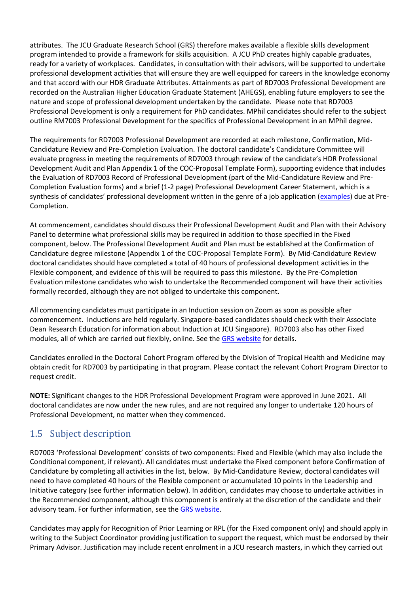attributes. The JCU Graduate Research School (GRS) therefore makes available a flexible skills development program intended to provide a framework for skills acquisition. A JCU PhD creates highly capable graduates, ready for a variety of workplaces. Candidates, in consultation with their advisors, will be supported to undertake professional development activities that will ensure they are well equipped for careers in the knowledge economy and that accord with our HDR Graduate Attributes. Attainments as part of RD7003 Professional Development are recorded on the Australian Higher Education Graduate Statement (AHEGS), enabling future employers to see the nature and scope of professional development undertaken by the candidate. Please note that RD7003 Professional Development is only a requirement for PhD candidates. MPhil candidates should refer to the subject outline RM7003 Professional Development for the specifics of Professional Development in an MPhil degree.

The requirements for RD7003 Professional Development are recorded at each milestone, Confirmation, Mid-Candidature Review and Pre-Completion Evaluation. The doctoral candidate's Candidature Committee will evaluate progress in meeting the requirements of RD7003 through review of the candidate's HDR Professional Development Audit and Plan Appendix 1 of the COC-Proposal Template Form), supporting evidence that includes the Evaluation of RD7003 Record of Professional Development (part of the Mid-Candidature Review and Pre-Completion Evaluation forms) and a brief (1-2 page) Professional Development Career Statement, which is a synthesis of candidates' professional development written in the genre of a job application ([examples\)](https://www.jcu.edu.au/graduate-research-school/formstemplates/professional-development-career-statement-examples) due at Pre-Completion.

At commencement, candidates should discuss their Professional Development Audit and Plan with their Advisory Panel to determine what professional skills may be required in addition to those specified in the Fixed component, below. The Professional Development Audit and Plan must be established at the Confirmation of Candidature degree milestone (Appendix 1 of the COC-Proposal Template Form). By Mid-Candidature Review doctoral candidates should have completed a total of 40 hours of professional development activities in the Flexible component, and evidence of this will be required to pass this milestone. By the Pre-Completion Evaluation milestone candidates who wish to undertake the Recommended component will have their activities formally recorded, although they are not obliged to undertake this component.

All commencing candidates must participate in an Induction session on Zoom as soon as possible after commencement. Inductions are held regularly. Singapore-based candidates should check with their Associate Dean Research Education for information about Induction at JCU Singapore). RD7003 also has other Fixed modules, all of which are carried out flexibly, online. See the [GRS website](https://www.jcu.edu.au/graduate-research-school/workshops-training-and-events/professional-development-program/rd7003-professional-development-workshops/identifying-and-promoting-hdr-graduate-skills-to-employers) for details.

Candidates enrolled in the Doctoral Cohort Program offered by the Division of Tropical Health and Medicine may obtain credit for RD7003 by participating in that program. Please contact the relevant Cohort Program Director to request credit.

**NOTE:** Significant changes to the HDR Professional Development Program were approved in June 2021. All doctoral candidates are now under the new rules, and are not required any longer to undertake 120 hours of Professional Development, no matter when they commenced.

## <span id="page-3-0"></span>1.5 Subject description

RD7003 'Professional Development' consists of two components: Fixed and Flexible (which may also include the Conditional component, if relevant). All candidates must undertake the Fixed component before Confirmation of Candidature by completing all activities in the list, below. By Mid-Candidature Review, doctoral candidates will need to have completed 40 hours of the Flexible component or accumulated 10 points in the Leadership and Initiative category (see further information below). In addition, candidates may choose to undertake activities in the Recommended component, although this component is entirely at the discretion of the candidate and their advisory team. For further information, see the [GRS website.](https://www.jcu.edu.au/graduate-research-school/workshops-training-and-events/professional-development-program/rd7003-professional-development-workshops)

Candidates may apply for Recognition of Prior Learning or RPL (for the Fixed component only) and should apply in writing to the Subject Coordinator providing justification to support the request, which must be endorsed by their Primary Advisor. Justification may include recent enrolment in a JCU research masters, in which they carried out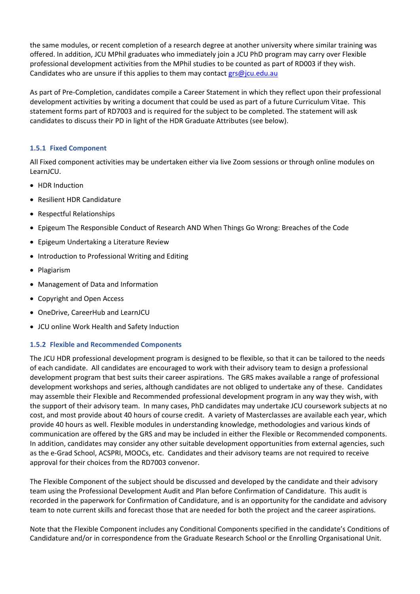the same modules, or recent completion of a research degree at another university where similar training was offered. In addition, JCU MPhil graduates who immediately join a JCU PhD program may carry over Flexible professional development activities from the MPhil studies to be counted as part of RD003 if they wish. Candidates who are unsure if this applies to them may contact  $\frac{grs\omega_j}{cu.edu.au}$ 

As part of Pre-Completion, candidates compile a Career Statement in which they reflect upon their professional development activities by writing a document that could be used as part of a future Curriculum Vitae. This statement forms part of RD7003 and is required for the subject to be completed. The statement will ask candidates to discuss their PD in light of the HDR Graduate Attributes (see below).

#### **1.5.1 Fixed Component**

All Fixed component activities may be undertaken either via live Zoom sessions or through online modules on LearnJCU.

- HDR Induction
- Resilient HDR Candidature
- Respectful Relationships
- Epigeum The Responsible Conduct of Research AND When Things Go Wrong: Breaches of the Code
- Epigeum Undertaking a Literature Review
- Introduction to Professional Writing and Editing
- Plagiarism
- Management of Data and Information
- Copyright and Open Access
- OneDrive, CareerHub and LearnJCU
- JCU online Work Health and Safety Induction

#### **1.5.2 Flexible and Recommended Components**

The JCU HDR professional development program is designed to be flexible, so that it can be tailored to the needs of each candidate. All candidates are encouraged to work with their advisory team to design a professional development program that best suits their career aspirations. The GRS makes available a range of professional development workshops and series, although candidates are not obliged to undertake any of these. Candidates may assemble their Flexible and Recommended professional development program in any way they wish, with the support of their advisory team. In many cases, PhD candidates may undertake JCU coursework subjects at no cost, and most provide about 40 hours of course credit. A variety of Masterclasses are available each year, which provide 40 hours as well. Flexible modules in understanding knowledge, methodologies and various kinds of communication are offered by the GRS and may be included in either the Flexible or Recommended components. In addition, candidates may consider any other suitable development opportunities from external agencies, such as the e-Grad School, ACSPRI, MOOCs, etc. Candidates and their advisory teams are not required to receive approval for their choices from the RD7003 convenor.

The Flexible Component of the subject should be discussed and developed by the candidate and their advisory team using the Professional Development Audit and Plan before Confirmation of Candidature. This audit is recorded in the paperwork for Confirmation of Candidature, and is an opportunity for the candidate and advisory team to note current skills and forecast those that are needed for both the project and the career aspirations.

Note that the Flexible Component includes any Conditional Components specified in the candidate's Conditions of Candidature and/or in correspondence from the Graduate Research School or the Enrolling Organisational Unit.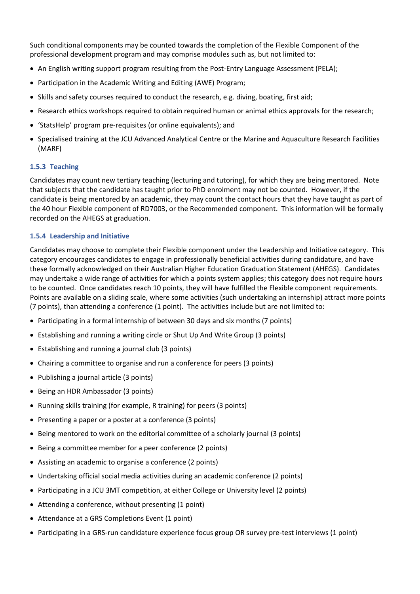Such conditional components may be counted towards the completion of the Flexible Component of the professional development program and may comprise modules such as, but not limited to:

- An English writing support program resulting from the Post-Entry Language Assessment (PELA);
- Participation in the Academic Writing and Editing (AWE) Program;
- Skills and safety courses required to conduct the research, e.g. diving, boating, first aid;
- Research ethics workshops required to obtain required human or animal ethics approvals for the research;
- 'StatsHelp' program pre-requisites (or online equivalents); and
- Specialised training at the JCU Advanced Analytical Centre or the Marine and Aquaculture Research Facilities (MARF)

#### **1.5.3 Teaching**

Candidates may count new tertiary teaching (lecturing and tutoring), for which they are being mentored. Note that subjects that the candidate has taught prior to PhD enrolment may not be counted. However, if the candidate is being mentored by an academic, they may count the contact hours that they have taught as part of the 40 hour Flexible component of RD7003, or the Recommended component. This information will be formally recorded on the AHEGS at graduation.

#### **1.5.4 Leadership and Initiative**

Candidates may choose to complete their Flexible component under the Leadership and Initiative category. This category encourages candidates to engage in professionally beneficial activities during candidature, and have these formally acknowledged on their Australian Higher Education Graduation Statement (AHEGS). Candidates may undertake a wide range of activities for which a points system applies; this category does not require hours to be counted. Once candidates reach 10 points, they will have fulfilled the Flexible component requirements. Points are available on a sliding scale, where some activities (such undertaking an internship) attract more points (7 points), than attending a conference (1 point). The activities include but are not limited to:

- Participating in a formal internship of between 30 days and six months (7 points)
- Establishing and running a writing circle or Shut Up And Write Group (3 points)
- Establishing and running a journal club (3 points)
- Chairing a committee to organise and run a conference for peers (3 points)
- Publishing a journal article (3 points)
- Being an HDR Ambassador (3 points)
- Running skills training (for example, R training) for peers (3 points)
- Presenting a paper or a poster at a conference (3 points)
- Being mentored to work on the editorial committee of a scholarly journal (3 points)
- Being a committee member for a peer conference (2 points)
- Assisting an academic to organise a conference (2 points)
- Undertaking official social media activities during an academic conference (2 points)
- Participating in a JCU 3MT competition, at either College or University level (2 points)
- Attending a conference, without presenting (1 point)
- Attendance at a GRS Completions Event (1 point)
- Participating in a GRS-run candidature experience focus group OR survey pre-test interviews (1 point)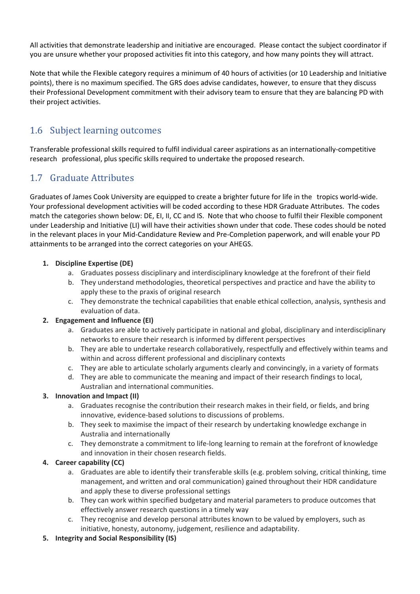All activities that demonstrate leadership and initiative are encouraged. Please contact the subject coordinator if you are unsure whether your proposed activities fit into this category, and how many points they will attract.

Note that while the Flexible category requires a minimum of 40 hours of activities (or 10 Leadership and Initiative points), there is no maximum specified. The GRS does advise candidates, however, to ensure that they discuss their Professional Development commitment with their advisory team to ensure that they are balancing PD with their project activities.

## <span id="page-6-0"></span>1.6 Subject learning outcomes

Transferable professional skills required to fulfil individual career aspirations as an internationally-competitive research professional, plus specific skills required to undertake the proposed research.

## <span id="page-6-1"></span>1.7 Graduate Attributes

Graduates of James Cook University are equipped to create a brighter future for life in the tropics world-wide. Your professional development activities will be coded according to these HDR Graduate Attributes. The codes match the categories shown below: DE, EI, II, CC and IS. Note that who choose to fulfil their Flexible component under Leadership and Initiative (LI) will have their activities shown under that code. These codes should be noted in the relevant places in your Mid-Candidature Review and Pre-Completion paperwork, and will enable your PD attainments to be arranged into the correct categories on your AHEGS.

#### **1. Discipline Expertise (DE)**

- a. Graduates possess disciplinary and interdisciplinary knowledge at the forefront of their field
- b. They understand methodologies, theoretical perspectives and practice and have the ability to apply these to the praxis of original research
- c. They demonstrate the technical capabilities that enable ethical collection, analysis, synthesis and evaluation of data.

#### **2. Engagement and Influence (EI)**

- a. Graduates are able to actively participate in national and global, disciplinary and interdisciplinary networks to ensure their research is informed by different perspectives
- b. They are able to undertake research collaboratively, respectfully and effectively within teams and within and across different professional and disciplinary contexts
- c. They are able to articulate scholarly arguments clearly and convincingly, in a variety of formats
- d. They are able to communicate the meaning and impact of their research findings to local, Australian and international communities.

#### **3. Innovation and Impact (II)**

- a. Graduates recognise the contribution their research makes in their field, or fields, and bring innovative, evidence-based solutions to discussions of problems.
- b. They seek to maximise the impact of their research by undertaking knowledge exchange in Australia and internationally
- c. They demonstrate a commitment to life-long learning to remain at the forefront of knowledge and innovation in their chosen research fields.

#### **4. Career capability (CC)**

- a. Graduates are able to identify their transferable skills (e.g. problem solving, critical thinking, time management, and written and oral communication) gained throughout their HDR candidature and apply these to diverse professional settings
- b. They can work within specified budgetary and material parameters to produce outcomes that effectively answer research questions in a timely way
- c. They recognise and develop personal attributes known to be valued by employers, such as initiative, honesty, autonomy, judgement, resilience and adaptability.
- **5. Integrity and Social Responsibility (IS)**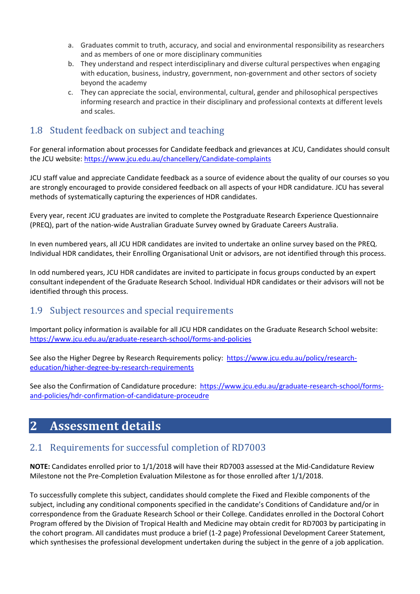- a. Graduates commit to truth, accuracy, and social and environmental responsibility as researchers and as members of one or more disciplinary communities
- b. They understand and respect interdisciplinary and diverse cultural perspectives when engaging with education, business, industry, government, non-government and other sectors of society beyond the academy
- c. They can appreciate the social, environmental, cultural, gender and philosophical perspectives informing research and practice in their disciplinary and professional contexts at different levels and scales.

## <span id="page-7-0"></span>1.8 Student feedback on subject and teaching

For general information about processes for Candidate feedback and grievances at JCU, Candidates should consult the JCU website: [https://www.jcu.edu.au/chancellery/Candidate-complaints](https://www.jcu.edu.au/chancellery/student-complaints)

JCU staff value and appreciate Candidate feedback as a source of evidence about the quality of our courses so you are strongly encouraged to provide considered feedback on all aspects of your HDR candidature. JCU has several methods of systematically capturing the experiences of HDR candidates.

Every year, recent JCU graduates are invited to complete the Postgraduate Research Experience Questionnaire (PREQ), part of the nation-wide Australian Graduate Survey owned by Graduate Careers Australia.

In even numbered years, all JCU HDR candidates are invited to undertake an online survey based on the PREQ. Individual HDR candidates, their Enrolling Organisational Unit or advisors, are not identified through this process.

In odd numbered years, JCU HDR candidates are invited to participate in focus groups conducted by an expert consultant independent of the Graduate Research School. Individual HDR candidates or their advisors will not be identified through this process.

### <span id="page-7-1"></span>1.9 Subject resources and special requirements

Important policy information is available for all JCU HDR candidates on the Graduate Research School website: <https://www.jcu.edu.au/graduate-research-school/forms-and-policies>

See also the Higher Degree by Research Requirements policy: [https://www.jcu.edu.au/policy/research](https://www.jcu.edu.au/policy/research-education/higher-degree-by-research-requirements)[education/higher-degree-by-research-requirements](https://www.jcu.edu.au/policy/research-education/higher-degree-by-research-requirements)

See also the Confirmation of Candidature procedure: [https://www.jcu.edu.au/graduate-research-school/forms](https://www.jcu.edu.au/graduate-research-school/forms-and-policies/hdr-confirmation-of-candidature-proceudre)[and-policies/hdr-confirmation-of-candidature-proceudre](https://www.jcu.edu.au/graduate-research-school/forms-and-policies/hdr-confirmation-of-candidature-proceudre)

## <span id="page-7-2"></span>**2 Assessment details**

### <span id="page-7-3"></span>2.1 Requirements for successful completion of RD7003

**NOTE:** Candidates enrolled prior to 1/1/2018 will have their RD7003 assessed at the Mid-Candidature Review Milestone not the Pre-Completion Evaluation Milestone as for those enrolled after 1/1/2018.

To successfully complete this subject, candidates should complete the Fixed and Flexible components of the subject, including any conditional components specified in the candidate's Conditions of Candidature and/or in correspondence from the Graduate Research School or their College. Candidates enrolled in the Doctoral Cohort Program offered by the Division of Tropical Health and Medicine may obtain credit for RD7003 by participating in the cohort program. All candidates must produce a brief (1-2 page) Professional Development Career Statement, which synthesises the professional development undertaken during the subject in the genre of a job application.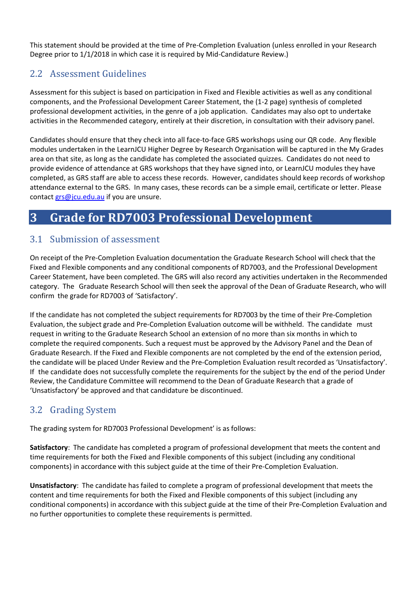This statement should be provided at the time of Pre-Completion Evaluation (unless enrolled in your Research Degree prior to 1/1/2018 in which case it is required by Mid-Candidature Review.)

## <span id="page-8-0"></span>2.2 Assessment Guidelines

Assessment for this subject is based on participation in Fixed and Flexible activities as well as any conditional components, and the Professional Development Career Statement, the (1-2 page) synthesis of completed professional development activities, in the genre of a job application. Candidates may also opt to undertake activities in the Recommended category, entirely at their discretion, in consultation with their advisory panel.

Candidates should ensure that they check into all face-to-face GRS workshops using our QR code. Any flexible modules undertaken in the LearnJCU Higher Degree by Research Organisation will be captured in the My Grades area on that site, as long as the candidate has completed the associated quizzes. Candidates do not need to provide evidence of attendance at GRS workshops that they have signed into, or LearnJCU modules they have completed, as GRS staff are able to access these records. However, candidates should keep records of workshop attendance external to the GRS. In many cases, these records can be a simple email, certificate or letter. Please contact [grs@jcu.edu.au](mailto:grs@jcu.edu.au) if you are unsure.

## <span id="page-8-1"></span>**3 Grade for RD7003 Professional Development**

### <span id="page-8-2"></span>3.1 Submission of assessment

On receipt of the Pre-Completion Evaluation documentation the Graduate Research School will check that the Fixed and Flexible components and any conditional components of RD7003, and the Professional Development Career Statement, have been completed. The GRS will also record any activities undertaken in the Recommended category. The Graduate Research School will then seek the approval of the Dean of Graduate Research, who will confirm the grade for RD7003 of 'Satisfactory'.

If the candidate has not completed the subject requirements for RD7003 by the time of their Pre-Completion Evaluation, the subject grade and Pre-Completion Evaluation outcome will be withheld. The candidate must request in writing to the Graduate Research School an extension of no more than six months in which to complete the required components. Such a request must be approved by the Advisory Panel and the Dean of Graduate Research. If the Fixed and Flexible components are not completed by the end of the extension period, the candidate will be placed Under Review and the Pre-Completion Evaluation result recorded as 'Unsatisfactory'. If the candidate does not successfully complete the requirements for the subject by the end of the period Under Review, the Candidature Committee will recommend to the Dean of Graduate Research that a grade of 'Unsatisfactory' be approved and that candidature be discontinued.

## <span id="page-8-3"></span>3.2 Grading System

The grading system for RD7003 Professional Development' is as follows:

**Satisfactory**: The candidate has completed a program of professional development that meets the content and time requirements for both the Fixed and Flexible components of this subject (including any conditional components) in accordance with this subject guide at the time of their Pre-Completion Evaluation.

**Unsatisfactory**: The candidate has failed to complete a program of professional development that meets the content and time requirements for both the Fixed and Flexible components of this subject (including any conditional components) in accordance with this subject guide at the time of their Pre-Completion Evaluation and no further opportunities to complete these requirements is permitted.